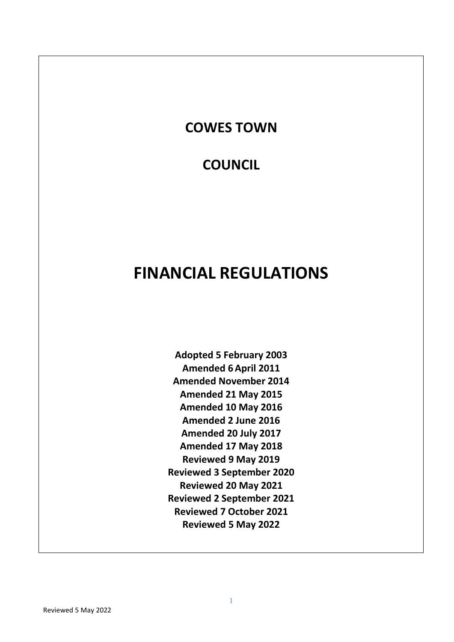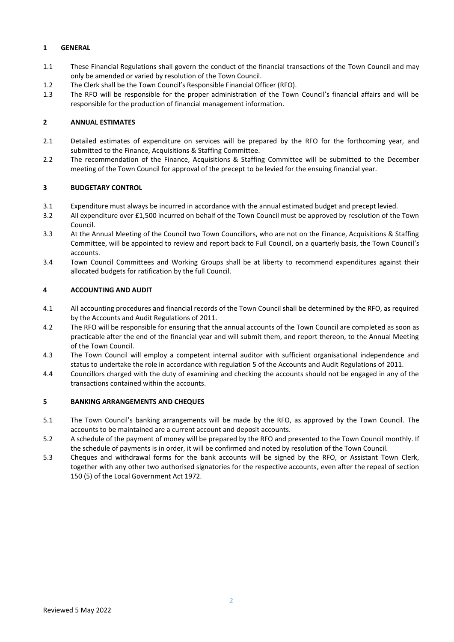### **1 GENERAL**

- 1.1 These Financial Regulations shall govern the conduct of the financial transactions of the Town Council and may only be amended or varied by resolution of the Town Council.
- 1.2 The Clerk shall be the Town Council's Responsible Financial Officer (RFO).
- 1.3 The RFO will be responsible for the proper administration of the Town Council's financial affairs and will be responsible for the production of financial management information.

# **2 ANNUAL ESTIMATES**

- 2.1 Detailed estimates of expenditure on services will be prepared by the RFO for the forthcoming year, and submitted to the Finance, Acquisitions & Staffing Committee.
- 2.2 The recommendation of the Finance, Acquisitions & Staffing Committee will be submitted to the December meeting of the Town Council for approval of the precept to be levied for the ensuing financial year.

# **3 BUDGETARY CONTROL**

- 3.1 Expenditure must always be incurred in accordance with the annual estimated budget and precept levied.
- 3.2 All expenditure over £1,500 incurred on behalf of the Town Council must be approved by resolution of the Town Council.
- 3.3 At the Annual Meeting of the Council two Town Councillors, who are not on the Finance, Acquisitions & Staffing Committee, will be appointed to review and report back to Full Council, on a quarterly basis, the Town Council's accounts.
- 3.4 Town Council Committees and Working Groups shall be at liberty to recommend expenditures against their allocated budgets for ratification by the full Council.

# **4 ACCOUNTING AND AUDIT**

- 4.1 All accounting procedures and financial records of the Town Council shall be determined by the RFO, as required by the Accounts and Audit Regulations of 2011.
- 4.2 The RFO will be responsible for ensuring that the annual accounts of the Town Council are completed as soon as practicable after the end of the financial year and will submit them, and report thereon, to the Annual Meeting of the Town Council.
- 4.3 The Town Council will employ a competent internal auditor with sufficient organisational independence and status to undertake the role in accordance with regulation 5 of the Accounts and Audit Regulations of 2011.
- 4.4 Councillors charged with the duty of examining and checking the accounts should not be engaged in any of the transactions contained within the accounts.

### **5 BANKING ARRANGEMENTS AND CHEQUES**

- 5.1 The Town Council's banking arrangements will be made by the RFO, as approved by the Town Council. The accounts to be maintained are a current account and deposit accounts.
- 5.2 A schedule of the payment of money will be prepared by the RFO and presented to the Town Council monthly. If the schedule of payments is in order, it will be confirmed and noted by resolution of the Town Council.
- 5.3 Cheques and withdrawal forms for the bank accounts will be signed by the RFO, or Assistant Town Clerk, together with any other two authorised signatories for the respective accounts, even after the repeal of section 150 (5) of the Local Government Act 1972.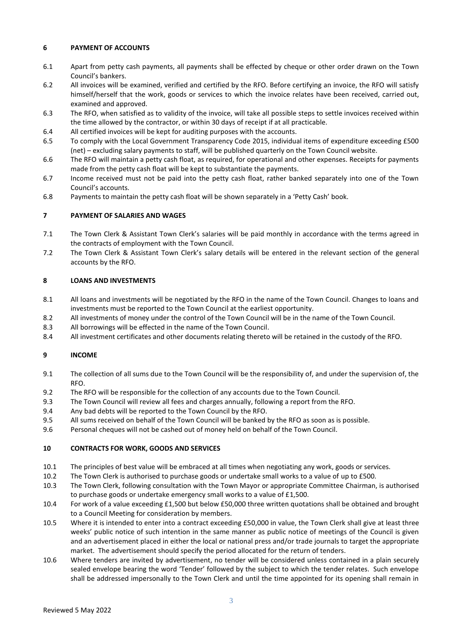### **6 PAYMENT OF ACCOUNTS**

- 6.1 Apart from petty cash payments, all payments shall be effected by cheque or other order drawn on the Town Council's bankers.
- 6.2 All invoices will be examined, verified and certified by the RFO. Before certifying an invoice, the RFO will satisfy himself/herself that the work, goods or services to which the invoice relates have been received, carried out, examined and approved.
- 6.3 The RFO, when satisfied as to validity of the invoice, will take all possible steps to settle invoices received within the time allowed by the contractor, or within 30 days of receipt if at all practicable.
- 6.4 All certified invoices will be kept for auditing purposes with the accounts.
- 6.5 To comply with the Local Government Transparency Code 2015, individual items of expenditure exceeding £500 (net) – excluding salary payments to staff, will be published quarterly on the Town Council website.
- 6.6 The RFO will maintain a petty cash float, as required, for operational and other expenses. Receipts for payments made from the petty cash float will be kept to substantiate the payments.
- 6.7 Income received must not be paid into the petty cash float, rather banked separately into one of the Town Council's accounts.
- 6.8 Payments to maintain the petty cash float will be shown separately in a 'Petty Cash' book.

# **7 PAYMENT OF SALARIES AND WAGES**

- 7.1 The Town Clerk & Assistant Town Clerk's salaries will be paid monthly in accordance with the terms agreed in the contracts of employment with the Town Council.
- 7.2 The Town Clerk & Assistant Town Clerk's salary details will be entered in the relevant section of the general accounts by the RFO.

### **8 LOANS AND INVESTMENTS**

- 8.1 All loans and investments will be negotiated by the RFO in the name of the Town Council. Changes to loans and investments must be reported to the Town Council at the earliest opportunity.
- 8.2 All investments of money under the control of the Town Council will be in the name of the Town Council.
- 8.3 All borrowings will be effected in the name of the Town Council.
- 8.4 All investment certificates and other documents relating thereto will be retained in the custody of the RFO.

### **9 INCOME**

- 9.1 The collection of all sums due to the Town Council will be the responsibility of, and under the supervision of, the RFO.
- 9.2 The RFO will be responsible for the collection of any accounts due to the Town Council.
- 9.3 The Town Council will review all fees and charges annually, following a report from the RFO.
- 9.4 Any bad debts will be reported to the Town Council by the RFO.
- 9.5 All sums received on behalf of the Town Council will be banked by the RFO as soon as is possible.
- 9.6 Personal cheques will not be cashed out of money held on behalf of the Town Council.

### **10 CONTRACTS FOR WORK, GOODS AND SERVICES**

- 10.1 The principles of best value will be embraced at all times when negotiating any work, goods or services.
- 10.2 The Town Clerk is authorised to purchase goods or undertake small works to a value of up to £500.
- 10.3 The Town Clerk, following consultation with the Town Mayor or appropriate Committee Chairman, is authorised to purchase goods or undertake emergency small works to a value of £1,500.
- 10.4 For work of a value exceeding £1,500 but below £50,000 three written quotations shall be obtained and brought to a Council Meeting for consideration by members.
- 10.5 Where it is intended to enter into a contract exceeding £50,000 in value, the Town Clerk shall give at least three weeks' public notice of such intention in the same manner as public notice of meetings of the Council is given and an advertisement placed in either the local or national press and/or trade journals to target the appropriate market. The advertisement should specify the period allocated for the return of tenders.
- 10.6 Where tenders are invited by advertisement, no tender will be considered unless contained in a plain securely sealed envelope bearing the word 'Tender' followed by the subject to which the tender relates. Such envelope shall be addressed impersonally to the Town Clerk and until the time appointed for its opening shall remain in